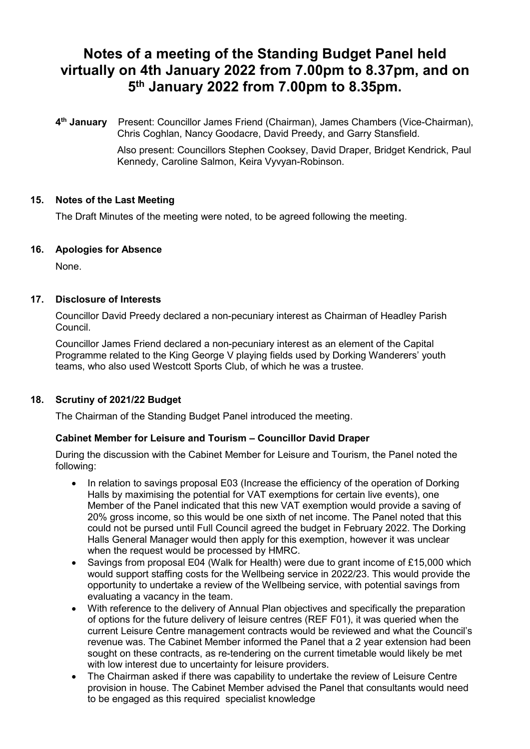# **Notes of a meeting of the Standing Budget Panel held virtually on 4th January 2022 from 7.00pm to 8.37pm, and on 5th January 2022 from 7.00pm to 8.35pm.**

**4th January** Present: Councillor James Friend (Chairman), James Chambers (Vice-Chairman), Chris Coghlan, Nancy Goodacre, David Preedy, and Garry Stansfield.

> Also present: Councillors Stephen Cooksey, David Draper, Bridget Kendrick, Paul Kennedy, Caroline Salmon, Keira Vyvyan-Robinson.

# **15. Notes of the Last Meeting**

The Draft Minutes of the meeting were noted, to be agreed following the meeting.

### **16. Apologies for Absence**

None.

# **17. Disclosure of Interests**

Councillor David Preedy declared a non-pecuniary interest as Chairman of Headley Parish Council.

Councillor James Friend declared a non-pecuniary interest as an element of the Capital Programme related to the King George V playing fields used by Dorking Wanderers' youth teams, who also used Westcott Sports Club, of which he was a trustee.

### **18. Scrutiny of 2021/22 Budget**

The Chairman of the Standing Budget Panel introduced the meeting.

### **Cabinet Member for Leisure and Tourism – Councillor David Draper**

During the discussion with the Cabinet Member for Leisure and Tourism, the Panel noted the following:

- In relation to savings proposal E03 (Increase the efficiency of the operation of Dorking Halls by maximising the potential for VAT exemptions for certain live events), one Member of the Panel indicated that this new VAT exemption would provide a saving of 20% gross income, so this would be one sixth of net income. The Panel noted that this could not be pursed until Full Council agreed the budget in February 2022. The Dorking Halls General Manager would then apply for this exemption, however it was unclear when the request would be processed by HMRC.
- Savings from proposal E04 (Walk for Health) were due to grant income of £15,000 which would support staffing costs for the Wellbeing service in 2022/23. This would provide the opportunity to undertake a review of the Wellbeing service, with potential savings from evaluating a vacancy in the team.
- With reference to the delivery of Annual Plan objectives and specifically the preparation of options for the future delivery of leisure centres (REF F01), it was queried when the current Leisure Centre management contracts would be reviewed and what the Council's revenue was. The Cabinet Member informed the Panel that a 2 year extension had been sought on these contracts, as re-tendering on the current timetable would likely be met with low interest due to uncertainty for leisure providers.
- The Chairman asked if there was capability to undertake the review of Leisure Centre provision in house. The Cabinet Member advised the Panel that consultants would need to be engaged as this required specialist knowledge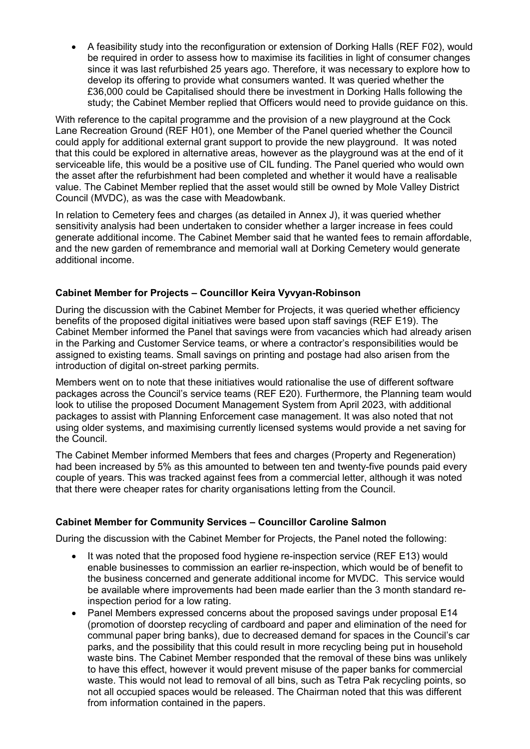• A feasibility study into the reconfiguration or extension of Dorking Halls (REF F02), would be required in order to assess how to maximise its facilities in light of consumer changes since it was last refurbished 25 years ago. Therefore, it was necessary to explore how to develop its offering to provide what consumers wanted. It was queried whether the £36,000 could be Capitalised should there be investment in Dorking Halls following the study; the Cabinet Member replied that Officers would need to provide guidance on this.

With reference to the capital programme and the provision of a new playground at the Cock Lane Recreation Ground (REF H01), one Member of the Panel queried whether the Council could apply for additional external grant support to provide the new playground. It was noted that this could be explored in alternative areas, however as the playground was at the end of it serviceable life, this would be a positive use of CIL funding. The Panel queried who would own the asset after the refurbishment had been completed and whether it would have a realisable value. The Cabinet Member replied that the asset would still be owned by Mole Valley District Council (MVDC), as was the case with Meadowbank.

In relation to Cemetery fees and charges (as detailed in Annex J), it was queried whether sensitivity analysis had been undertaken to consider whether a larger increase in fees could generate additional income. The Cabinet Member said that he wanted fees to remain affordable, and the new garden of remembrance and memorial wall at Dorking Cemetery would generate additional income.

# **Cabinet Member for Projects – Councillor Keira Vyvyan-Robinson**

During the discussion with the Cabinet Member for Projects, it was queried whether efficiency benefits of the proposed digital initiatives were based upon staff savings (REF E19). The Cabinet Member informed the Panel that savings were from vacancies which had already arisen in the Parking and Customer Service teams, or where a contractor's responsibilities would be assigned to existing teams. Small savings on printing and postage had also arisen from the introduction of digital on-street parking permits.

Members went on to note that these initiatives would rationalise the use of different software packages across the Council's service teams (REF E20). Furthermore, the Planning team would look to utilise the proposed Document Management System from April 2023, with additional packages to assist with Planning Enforcement case management. It was also noted that not using older systems, and maximising currently licensed systems would provide a net saving for the Council.

The Cabinet Member informed Members that fees and charges (Property and Regeneration) had been increased by 5% as this amounted to between ten and twenty-five pounds paid every couple of years. This was tracked against fees from a commercial letter, although it was noted that there were cheaper rates for charity organisations letting from the Council.

### **Cabinet Member for Community Services – Councillor Caroline Salmon**

During the discussion with the Cabinet Member for Projects, the Panel noted the following:

- It was noted that the proposed food hygiene re-inspection service (REF E13) would enable businesses to commission an earlier re-inspection, which would be of benefit to the business concerned and generate additional income for MVDC. This service would be available where improvements had been made earlier than the 3 month standard reinspection period for a low rating.
- Panel Members expressed concerns about the proposed savings under proposal E14 (promotion of doorstep recycling of cardboard and paper and elimination of the need for communal paper bring banks), due to decreased demand for spaces in the Council's car parks, and the possibility that this could result in more recycling being put in household waste bins. The Cabinet Member responded that the removal of these bins was unlikely to have this effect, however it would prevent misuse of the paper banks for commercial waste. This would not lead to removal of all bins, such as Tetra Pak recycling points, so not all occupied spaces would be released. The Chairman noted that this was different from information contained in the papers.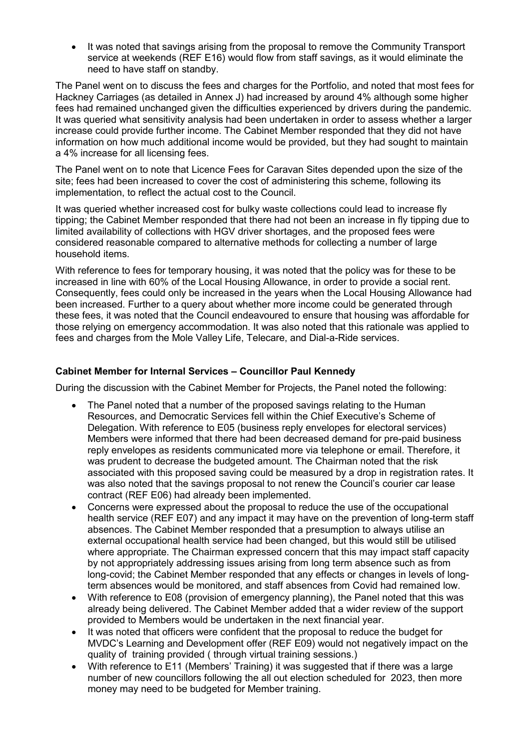• It was noted that savings arising from the proposal to remove the Community Transport service at weekends (REF E16) would flow from staff savings, as it would eliminate the need to have staff on standby.

The Panel went on to discuss the fees and charges for the Portfolio, and noted that most fees for Hackney Carriages (as detailed in Annex J) had increased by around 4% although some higher fees had remained unchanged given the difficulties experienced by drivers during the pandemic. It was queried what sensitivity analysis had been undertaken in order to assess whether a larger increase could provide further income. The Cabinet Member responded that they did not have information on how much additional income would be provided, but they had sought to maintain a 4% increase for all licensing fees.

The Panel went on to note that Licence Fees for Caravan Sites depended upon the size of the site; fees had been increased to cover the cost of administering this scheme, following its implementation, to reflect the actual cost to the Council.

It was queried whether increased cost for bulky waste collections could lead to increase fly tipping; the Cabinet Member responded that there had not been an increase in fly tipping due to limited availability of collections with HGV driver shortages, and the proposed fees were considered reasonable compared to alternative methods for collecting a number of large household items.

With reference to fees for temporary housing, it was noted that the policy was for these to be increased in line with 60% of the Local Housing Allowance, in order to provide a social rent. Consequently, fees could only be increased in the years when the Local Housing Allowance had been increased. Further to a query about whether more income could be generated through these fees, it was noted that the Council endeavoured to ensure that housing was affordable for those relying on emergency accommodation. It was also noted that this rationale was applied to fees and charges from the Mole Valley Life, Telecare, and Dial-a-Ride services.

### **Cabinet Member for Internal Services – Councillor Paul Kennedy**

During the discussion with the Cabinet Member for Projects, the Panel noted the following:

- The Panel noted that a number of the proposed savings relating to the Human Resources, and Democratic Services fell within the Chief Executive's Scheme of Delegation. With reference to E05 (business reply envelopes for electoral services) Members were informed that there had been decreased demand for pre-paid business reply envelopes as residents communicated more via telephone or email. Therefore, it was prudent to decrease the budgeted amount. The Chairman noted that the risk associated with this proposed saving could be measured by a drop in registration rates. It was also noted that the savings proposal to not renew the Council's courier car lease contract (REF E06) had already been implemented.
- Concerns were expressed about the proposal to reduce the use of the occupational health service (REF E07) and any impact it may have on the prevention of long-term staff absences. The Cabinet Member responded that a presumption to always utilise an external occupational health service had been changed, but this would still be utilised where appropriate. The Chairman expressed concern that this may impact staff capacity by not appropriately addressing issues arising from long term absence such as from long-covid; the Cabinet Member responded that any effects or changes in levels of longterm absences would be monitored, and staff absences from Covid had remained low.
- With reference to E08 (provision of emergency planning), the Panel noted that this was already being delivered. The Cabinet Member added that a wider review of the support provided to Members would be undertaken in the next financial year.
- It was noted that officers were confident that the proposal to reduce the budget for MVDC's Learning and Development offer (REF E09) would not negatively impact on the quality of training provided ( through virtual training sessions.)
- With reference to E11 (Members' Training) it was suggested that if there was a large number of new councillors following the all out election scheduled for 2023, then more money may need to be budgeted for Member training.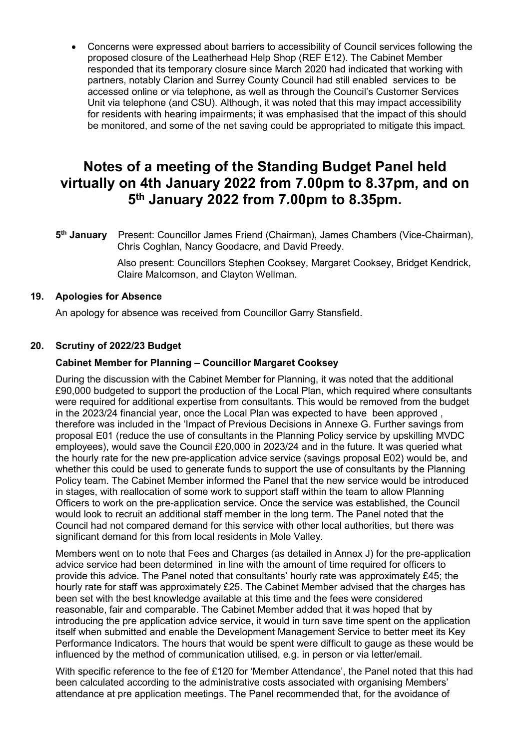• Concerns were expressed about barriers to accessibility of Council services following the proposed closure of the Leatherhead Help Shop (REF E12). The Cabinet Member responded that its temporary closure since March 2020 had indicated that working with partners, notably Clarion and Surrey County Council had still enabled services to be accessed online or via telephone, as well as through the Council's Customer Services Unit via telephone (and CSU). Although, it was noted that this may impact accessibility for residents with hearing impairments; it was emphasised that the impact of this should be monitored, and some of the net saving could be appropriated to mitigate this impact.

# **Notes of a meeting of the Standing Budget Panel held virtually on 4th January 2022 from 7.00pm to 8.37pm, and on 5th January 2022 from 7.00pm to 8.35pm.**

**5th January** Present: Councillor James Friend (Chairman), James Chambers (Vice-Chairman), Chris Coghlan, Nancy Goodacre, and David Preedy.

> Also present: Councillors Stephen Cooksey, Margaret Cooksey, Bridget Kendrick, Claire Malcomson, and Clayton Wellman.

#### **19. Apologies for Absence**

An apology for absence was received from Councillor Garry Stansfield.

### **20. Scrutiny of 2022/23 Budget**

#### **Cabinet Member for Planning – Councillor Margaret Cooksey**

During the discussion with the Cabinet Member for Planning, it was noted that the additional £90,000 budgeted to support the production of the Local Plan, which required where consultants were required for additional expertise from consultants. This would be removed from the budget in the 2023/24 financial year, once the Local Plan was expected to have been approved , therefore was included in the 'Impact of Previous Decisions in Annexe G. Further savings from proposal E01 (reduce the use of consultants in the Planning Policy service by upskilling MVDC employees), would save the Council £20,000 in 2023/24 and in the future. It was queried what the hourly rate for the new pre-application advice service (savings proposal E02) would be, and whether this could be used to generate funds to support the use of consultants by the Planning Policy team. The Cabinet Member informed the Panel that the new service would be introduced in stages, with reallocation of some work to support staff within the team to allow Planning Officers to work on the pre-application service. Once the service was established, the Council would look to recruit an additional staff member in the long term. The Panel noted that the Council had not compared demand for this service with other local authorities, but there was significant demand for this from local residents in Mole Valley.

Members went on to note that Fees and Charges (as detailed in Annex J) for the pre-application advice service had been determined in line with the amount of time required for officers to provide this advice. The Panel noted that consultants' hourly rate was approximately £45; the hourly rate for staff was approximately £25. The Cabinet Member advised that the charges has been set with the best knowledge available at this time and the fees were considered reasonable, fair and comparable. The Cabinet Member added that it was hoped that by introducing the pre application advice service, it would in turn save time spent on the application itself when submitted and enable the Development Management Service to better meet its Key Performance Indicators. The hours that would be spent were difficult to gauge as these would be influenced by the method of communication utilised, e.g. in person or via letter/email.

With specific reference to the fee of £120 for 'Member Attendance', the Panel noted that this had been calculated according to the administrative costs associated with organising Members' attendance at pre application meetings. The Panel recommended that, for the avoidance of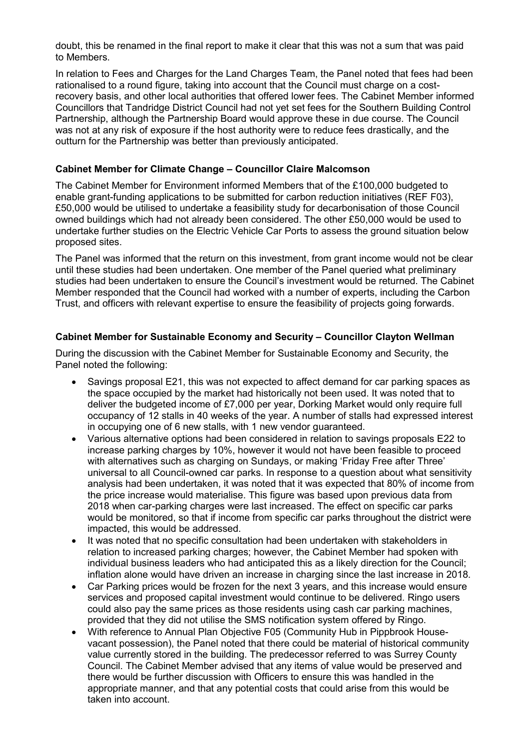doubt, this be renamed in the final report to make it clear that this was not a sum that was paid to Members.

In relation to Fees and Charges for the Land Charges Team, the Panel noted that fees had been rationalised to a round figure, taking into account that the Council must charge on a costrecovery basis, and other local authorities that offered lower fees. The Cabinet Member informed Councillors that Tandridge District Council had not yet set fees for the Southern Building Control Partnership, although the Partnership Board would approve these in due course. The Council was not at any risk of exposure if the host authority were to reduce fees drastically, and the outturn for the Partnership was better than previously anticipated.

### **Cabinet Member for Climate Change – Councillor Claire Malcomson**

The Cabinet Member for Environment informed Members that of the £100,000 budgeted to enable grant-funding applications to be submitted for carbon reduction initiatives (REF F03), £50,000 would be utilised to undertake a feasibility study for decarbonisation of those Council owned buildings which had not already been considered. The other £50,000 would be used to undertake further studies on the Electric Vehicle Car Ports to assess the ground situation below proposed sites.

The Panel was informed that the return on this investment, from grant income would not be clear until these studies had been undertaken. One member of the Panel queried what preliminary studies had been undertaken to ensure the Council's investment would be returned. The Cabinet Member responded that the Council had worked with a number of experts, including the Carbon Trust, and officers with relevant expertise to ensure the feasibility of projects going forwards.

### **Cabinet Member for Sustainable Economy and Security – Councillor Clayton Wellman**

During the discussion with the Cabinet Member for Sustainable Economy and Security, the Panel noted the following:

- Savings proposal E21, this was not expected to affect demand for car parking spaces as the space occupied by the market had historically not been used. It was noted that to deliver the budgeted income of £7,000 per year, Dorking Market would only require full occupancy of 12 stalls in 40 weeks of the year. A number of stalls had expressed interest in occupying one of 6 new stalls, with 1 new vendor guaranteed.
- Various alternative options had been considered in relation to savings proposals E22 to increase parking charges by 10%, however it would not have been feasible to proceed with alternatives such as charging on Sundays, or making 'Friday Free after Three' universal to all Council-owned car parks. In response to a question about what sensitivity analysis had been undertaken, it was noted that it was expected that 80% of income from the price increase would materialise. This figure was based upon previous data from 2018 when car-parking charges were last increased. The effect on specific car parks would be monitored, so that if income from specific car parks throughout the district were impacted, this would be addressed.
- It was noted that no specific consultation had been undertaken with stakeholders in relation to increased parking charges; however, the Cabinet Member had spoken with individual business leaders who had anticipated this as a likely direction for the Council; inflation alone would have driven an increase in charging since the last increase in 2018.
- Car Parking prices would be frozen for the next 3 years, and this increase would ensure services and proposed capital investment would continue to be delivered. Ringo users could also pay the same prices as those residents using cash car parking machines, provided that they did not utilise the SMS notification system offered by Ringo.
- With reference to Annual Plan Objective F05 (Community Hub in Pippbrook Housevacant possession), the Panel noted that there could be material of historical community value currently stored in the building. The predecessor referred to was Surrey County Council. The Cabinet Member advised that any items of value would be preserved and there would be further discussion with Officers to ensure this was handled in the appropriate manner, and that any potential costs that could arise from this would be taken into account.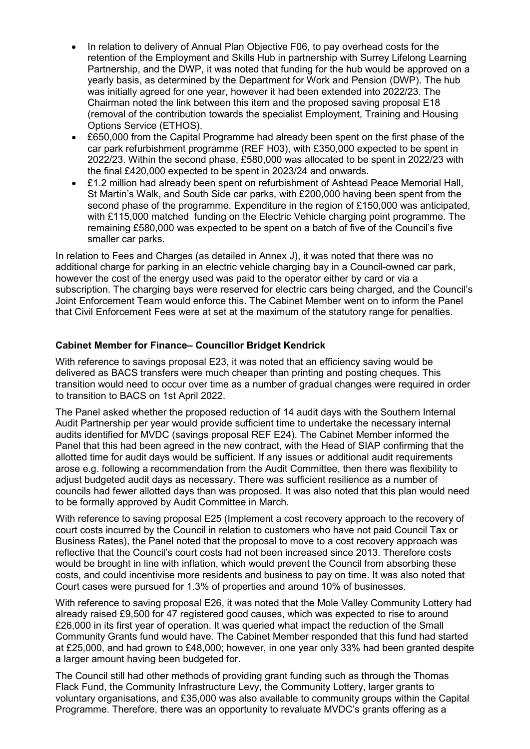- In relation to delivery of Annual Plan Objective F06, to pay overhead costs for the retention of the Employment and Skills Hub in partnership with Surrey Lifelong Learning Partnership, and the DWP, it was noted that funding for the hub would be approved on a yearly basis, as determined by the Department for Work and Pension (DWP). The hub was initially agreed for one year, however it had been extended into 2022/23. The Chairman noted the link between this item and the proposed saving proposal E18 (removal of the contribution towards the specialist Employment, Training and Housing Options Service (ETHOS).
- £650,000 from the Capital Programme had already been spent on the first phase of the car park refurbishment programme (REF H03), with £350,000 expected to be spent in 2022/23. Within the second phase, £580,000 was allocated to be spent in 2022/23 with the final £420,000 expected to be spent in 2023/24 and onwards.
- £1.2 million had already been spent on refurbishment of Ashtead Peace Memorial Hall, St Martin's Walk, and South Side car parks, with £200,000 having been spent from the second phase of the programme. Expenditure in the region of £150,000 was anticipated, with £115,000 matched funding on the Electric Vehicle charging point programme. The remaining £580,000 was expected to be spent on a batch of five of the Council's five smaller car parks.

In relation to Fees and Charges (as detailed in Annex J), it was noted that there was no additional charge for parking in an electric vehicle charging bay in a Council-owned car park, however the cost of the energy used was paid to the operator either by card or via a subscription. The charging bays were reserved for electric cars being charged, and the Council's Joint Enforcement Team would enforce this. The Cabinet Member went on to inform the Panel that Civil Enforcement Fees were at set at the maximum of the statutory range for penalties.

# **Cabinet Member for Finance– Councillor Bridget Kendrick**

With reference to savings proposal E23, it was noted that an efficiency saving would be delivered as BACS transfers were much cheaper than printing and posting cheques. This transition would need to occur over time as a number of gradual changes were required in order to transition to BACS on 1st April 2022.

The Panel asked whether the proposed reduction of 14 audit days with the Southern Internal Audit Partnership per year would provide sufficient time to undertake the necessary internal audits identified for MVDC (savings proposal REF E24). The Cabinet Member informed the Panel that this had been agreed in the new contract, with the Head of SIAP confirming that the allotted time for audit days would be sufficient. If any issues or additional audit requirements arose e.g. following a recommendation from the Audit Committee, then there was flexibility to adjust budgeted audit days as necessary. There was sufficient resilience as a number of councils had fewer allotted days than was proposed. It was also noted that this plan would need to be formally approved by Audit Committee in March.

With reference to saving proposal E25 (Implement a cost recovery approach to the recovery of court costs incurred by the Council in relation to customers who have not paid Council Tax or Business Rates), the Panel noted that the proposal to move to a cost recovery approach was reflective that the Council's court costs had not been increased since 2013. Therefore costs would be brought in line with inflation, which would prevent the Council from absorbing these costs, and could incentivise more residents and business to pay on time. It was also noted that Court cases were pursued for 1.3% of properties and around 10% of businesses.

With reference to saving proposal E26, it was noted that the Mole Valley Community Lottery had already raised £9,500 for 47 registered good causes, which was expected to rise to around £26,000 in its first year of operation. It was queried what impact the reduction of the Small Community Grants fund would have. The Cabinet Member responded that this fund had started at £25,000, and had grown to £48,000; however, in one year only 33% had been granted despite a larger amount having been budgeted for.

The Council still had other methods of providing grant funding such as through the Thomas Flack Fund, the Community Infrastructure Levy, the Community Lottery, larger grants to voluntary organisations, and £35,000 was also available to community groups within the Capital Programme. Therefore, there was an opportunity to revaluate MVDC's grants offering as a